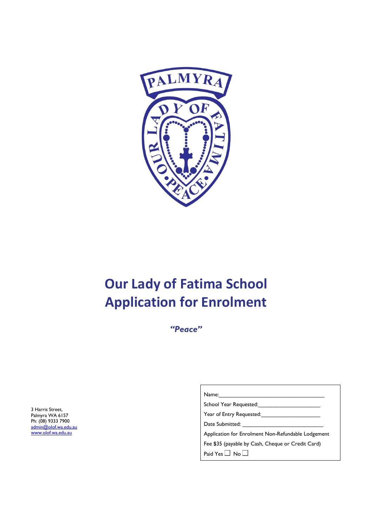

# **Our Lady of Fatima School Application for Enrolment**

*"Peace"*

 $\overline{1}$ 

3 Harris Street, Palmyra WA 6157 Ph: (08) 9333 7900 admin@olof.wa.edu.au www.olof.wa.edu.au

| Name:                                              |
|----------------------------------------------------|
| School Year Requested:                             |
| Year of Entry Requested:                           |
| Date Submitted:                                    |
| Application for Enrolment Non-Refundable Lodgement |
| Fee \$35 (payable by Cash, Cheque or Credit Card)  |
| Paid Yes $\Box$ No $\Box$                          |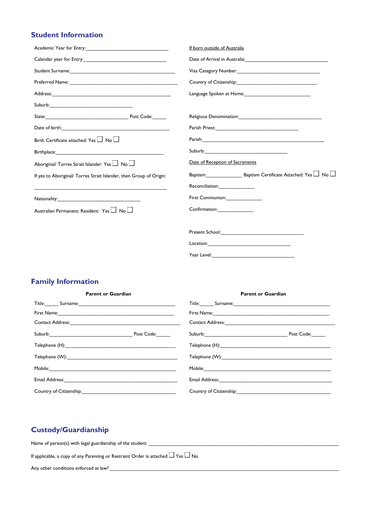## **Student Information**

| Academic Year for Entry:                                            | If born outside of Australia                                                                                   |
|---------------------------------------------------------------------|----------------------------------------------------------------------------------------------------------------|
|                                                                     |                                                                                                                |
|                                                                     | Visa Category Number:<br><u> Usan Category Number:</u>                                                         |
|                                                                     |                                                                                                                |
|                                                                     | Language Spoken at Home: 1988 1989                                                                             |
|                                                                     |                                                                                                                |
|                                                                     |                                                                                                                |
|                                                                     |                                                                                                                |
| Birth Certificate attached: Yes $\Box$ No $\Box$                    |                                                                                                                |
|                                                                     |                                                                                                                |
| Aboriginal/ Torres Strait Islander: Yes $\Box$ No $\Box$            | Date of Reception of Sacraments                                                                                |
| If yes to Aboriginal/ Torres Strait Islander, then Group of Origin: |                                                                                                                |
|                                                                     | Reconciliation: <b>Example 2019</b>                                                                            |
|                                                                     | First Communion:                                                                                               |
| Australian Permanent: Resident: Yes $\Box$ No $\Box$                | Confirmation:________________                                                                                  |
|                                                                     | Present School: The School School School School School School School School School School School School School |
|                                                                     |                                                                                                                |

## **Family Information**

| <b>Parent or Guardian</b>                                                                                                                                                                                                      | <b>Parent or Guardian</b>                                                                                                                                                                                                      |
|--------------------------------------------------------------------------------------------------------------------------------------------------------------------------------------------------------------------------------|--------------------------------------------------------------------------------------------------------------------------------------------------------------------------------------------------------------------------------|
| Title: Surname: Surname: Surname: Surname: Surname: Surname: Surname: Surname: Surname: Surname: Surname: Surname: Surname: Surname: Surname: Surname: Surname: Surname: Surname: Surname: Surname: Surname: Surname: Surname: | Title: Surname: Surname: Surname: Surname: Surname: Surname: Surname: Surname: Surname: Surname: Surname: Surname: Surname: Surname: Surname: Surname: Surname: Surname: Surname: Surname: Surname: Surname: Surname: Surname: |
| First Name: 1988 Manual Manual Manual Manual Manual Manual Manual Manual Manual Manual Manual Manual Manual Ma                                                                                                                 |                                                                                                                                                                                                                                |
|                                                                                                                                                                                                                                |                                                                                                                                                                                                                                |
| Suburb: Post Code:                                                                                                                                                                                                             | Suburb: Post Code:                                                                                                                                                                                                             |
|                                                                                                                                                                                                                                |                                                                                                                                                                                                                                |
|                                                                                                                                                                                                                                |                                                                                                                                                                                                                                |
|                                                                                                                                                                                                                                |                                                                                                                                                                                                                                |
|                                                                                                                                                                                                                                | Email Address: No. 1998. The Contract of the Contract of the Contract of the Contract of the Contract of the Contract of the Contract of the Contract of the Contract of the Contract of the Contract of the Contract of the C |
| Country of Citizenship: 1999                                                                                                                                                                                                   | Country of Citizenship: 1999                                                                                                                                                                                                   |

Year Level:\_\_\_\_\_\_\_\_\_\_\_\_\_\_\_\_\_\_\_\_\_\_\_\_\_\_\_\_\_\_

# **Custody/Guardianship**

Name of person(s) with legal guardianship of the student: \_\_\_\_\_\_\_\_\_\_\_\_\_\_\_\_\_\_\_\_\_\_

If applicable, a copy of any Parenting or Restraint Order is attached  $\Box$  Yes  $\Box$  No

Any other conditions enforced at law? \_\_\_\_\_\_\_\_\_\_\_\_\_\_\_\_\_\_\_\_\_\_\_\_\_\_\_\_\_\_\_\_\_\_\_\_\_\_\_\_\_\_\_\_\_\_\_\_\_\_\_\_\_\_\_\_\_\_\_\_\_\_\_\_\_\_\_\_\_\_\_\_\_\_\_\_\_\_\_\_\_\_\_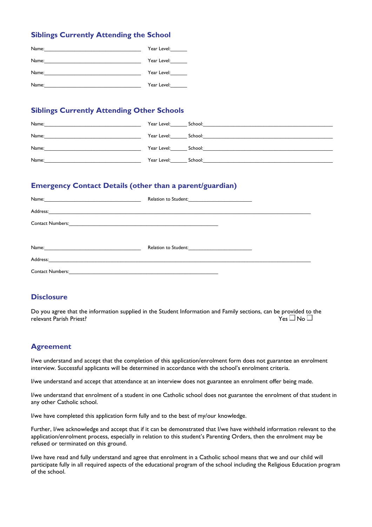### **Siblings Currently Attending the School**

| Name: | Year Level: |
|-------|-------------|
| Name: | Year Level: |
| Name: | Year Level: |
| Name: | Year Level: |

#### **Siblings Currently Attending Other Schools**

| Name: | Year Level: School: |  |
|-------|---------------------|--|
| Name: | Year Level: School: |  |
| Name: | Year Level: School: |  |
| Name: | Year Level: School: |  |

#### **Emergency Contact Details (other than a parent/guardian)**

|                         | Relation to Student: |
|-------------------------|----------------------|
| Address:                |                      |
|                         |                      |
|                         |                      |
|                         | Relation to Student: |
|                         |                      |
| <b>Contact Numbers:</b> |                      |

#### **Disclosure**

Do you agree that the information supplied in the Student Information and Family sections, can be provided to the relevant Parish Priest? relevant Parish Priest?

## **Agreement**

I/we understand and accept that the completion of this application/enrolment form does not guarantee an enrolment interview. Successful applicants will be determined in accordance with the school's enrolment criteria.

I/we understand and accept that attendance at an interview does not guarantee an enrolment offer being made.

I/we understand that enrolment of a student in one Catholic school does not guarantee the enrolment of that student in any other Catholic school.

I/we have completed this application form fully and to the best of my/our knowledge.

Further, I/we acknowledge and accept that if it can be demonstrated that I/we have withheld information relevant to the application/enrolment process, especially in relation to this student's Parenting Orders, then the enrolment may be refused or terminated on this ground.

I/we have read and fully understand and agree that enrolment in a Catholic school means that we and our child will participate fully in all required aspects of the educational program of the school including the Religious Education program of the school.